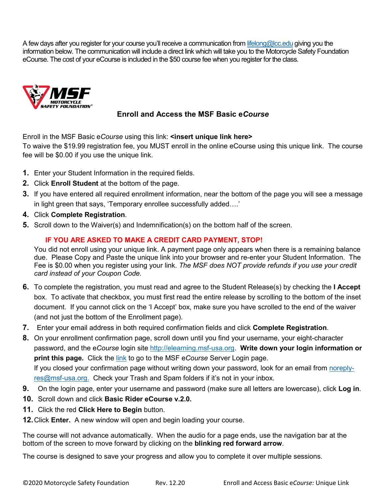A few days after you register for your course you'll receive a communication from [lifelong@lcc.edu](mailto:lifelong@lcc.edu) giving you the information below. The communication will include a direct link which will take you to the Motorcycle Safety Foundation eCourse. The cost of your eCourse is included in the \$50 course fee when you register for the class.



## **Enroll and Access the MSF Basic e***Course*

Enroll in the MSF Basic e*Course* using this link: **<insert unique link here>**

To waive the \$19.99 registration fee, you MUST enroll in the online eCourse using this unique link. The course fee will be \$0.00 if you use the unique link.

- **1.** Enter your Student Information in the required fields.
- **2.** Click **Enroll Student** at the bottom of the page.
- **3.** If you have entered all required enrollment information, near the bottom of the page you will see a message in light green that says, 'Temporary enrollee successfully added….'
- **4.** Click **Complete Registration**.
- **5.** Scroll down to the Waiver(s) and Indemnification(s) on the bottom half of the screen.

## **IF YOU ARE ASKED TO MAKE A CREDIT CARD PAYMENT, STOP!**

You did not enroll using your unique link. A payment page only appears when there is a remaining balance due. Please Copy and Paste the unique link into your browser and re-enter your Student Information. The Fee is \$0.00 when you register using your link. *The MSF does NOT provide refunds if you use your credit card instead of your Coupon Code.*

- **6.** To complete the registration, you must read and agree to the Student Release(s) by checking the **I Accept** box. To activate that checkbox, you must first read the entire release by scrolling to the bottom of the inset document. If you cannot click on the 'I Accept' box, make sure you have scrolled to the end of the waiver (and not just the bottom of the Enrollment page).
- **7.** Enter your email address in both required confirmation fields and click **Complete Registration**.
- **8.** On your enrollment confirmation page, scroll down until you find your username, your eight-character password, and the e*Course* login site http:/[/elearning.msf-usa.org.](http://elearning.msf-usa.org/) **Write down your login information or print this page.** Click the [link](https://elearning.msf-usa.org/) to go to the MSF e*Course* Server Login page.

If you closed your confirmation page without writing down your password, look for an email from [noreply](mailto:noreply-res@msf-usa.org)[res@msf-usa.org.](mailto:noreply-res@msf-usa.org) Check your Trash and Spam folders if it's not in your inbox.

- **9.** On the login page, enter your username and password (make sure all letters are lowercase), click **Log in**.
- **10.** Scroll down and click **Basic Rider eCourse v.2.0.**
- **11.** Click the red **Click Here to Begin** button.
- **12.**Click **Enter.** A new window will open and begin loading your course.

The course will not advance automatically. When the audio for a page ends, use the navigation bar at the bottom of the screen to move forward by clicking on the **blinking red forward arrow**.

The course is designed to save your progress and allow you to complete it over multiple sessions.